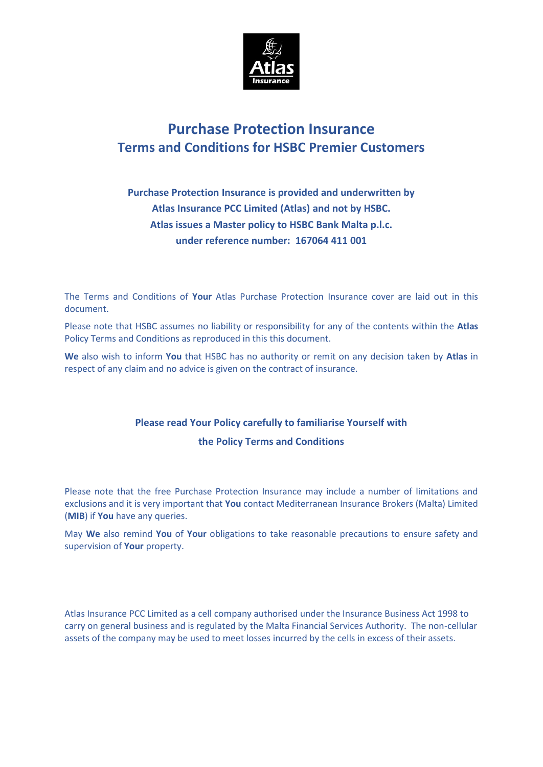

# **Purchase Protection Insurance Terms and Conditions for HSBC Premier Customers**

# **Purchase Protection Insurance is provided and underwritten by Atlas Insurance PCC Limited (Atlas) and not by HSBC. Atlas issues a Master policy to HSBC Bank Malta p.l.c. under reference number: 167064 411 001**

The Terms and Conditions of **Your** Atlas Purchase Protection Insurance cover are laid out in this document.

Please note that HSBC assumes no liability or responsibility for any of the contents within the **Atlas**  Policy Terms and Conditions as reproduced in this this document.

**We** also wish to inform **You** that HSBC has no authority or remit on any decision taken by **Atlas** in respect of any claim and no advice is given on the contract of insurance.

## **Please read Your Policy carefully to familiarise Yourself with**

### **the Policy Terms and Conditions**

Please note that the free Purchase Protection Insurance may include a number of limitations and exclusions and it is very important that **You** contact Mediterranean Insurance Brokers (Malta) Limited (**MIB**) if **You** have any queries.

May **We** also remind **You** of **Your** obligations to take reasonable precautions to ensure safety and supervision of **Your** property.

Atlas Insurance PCC Limited as a cell company authorised under the Insurance Business Act 1998 to carry on general business and is regulated by the Malta Financial Services Authority. The non-cellular assets of the company may be used to meet losses incurred by the cells in excess of their assets.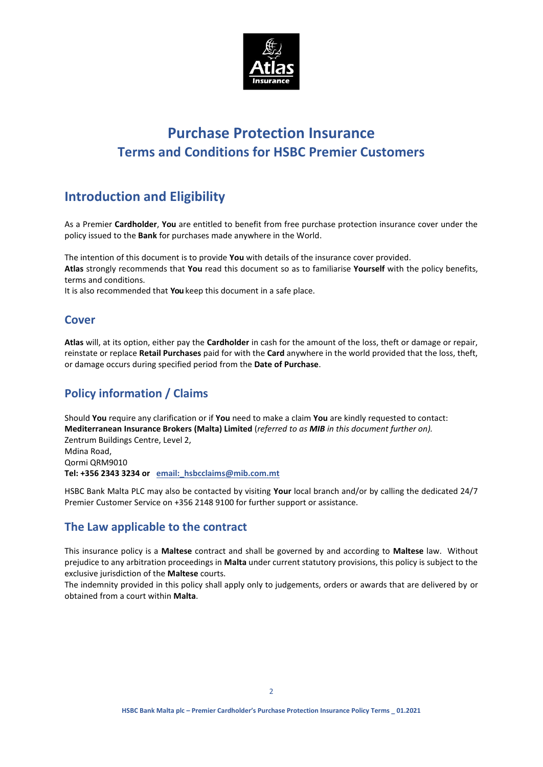

# **Purchase Protection Insurance Terms and Conditions for HSBC Premier Customers**

# **Introduction and Eligibility**

As a Premier **Cardholder**, **You** are entitled to benefit from free purchase protection insurance cover under the policy issued to the **Bank** for purchases made anywhere in the World.

The intention of this document is to provide **You** with details of the insurance cover provided. **Atlas** strongly recommends that **You** read this document so as to familiarise **Yourself** with the policy benefits, terms and conditions.

It is also recommended that **You** keep this document in a safe place.

### **Cover**

**Atlas** will, at its option, either pay the **Cardholder** in cash for the amount of the loss, theft or damage or repair, reinstate or replace **Retail Purchases** paid for with the **Card** anywhere in the world provided that the loss, theft, or damage occurs during specified period from the **Date of Purchase**.

## **Policy information / Claims**

Should **You** require any clarification or if **You** need to make a claim **You** are kindly requested to contact: **Mediterranean Insurance Brokers (Malta) Limited** (*referred to as MIB in this document further on).* Zentrum Buildings Centre, Level 2, Mdina Road, Qormi QRM9010 **Tel: +356 2343 3234 or email:\_hsbcclaims@mib.com.mt**

HSBC Bank Malta PLC may also be contacted by visiting **Your** local branch and/or by calling the dedicated 24/7 Premier Customer Service on +356 2148 9100 for further support or assistance.

### **The Law applicable to the contract**

This insurance policy is a **Maltese** contract and shall be governed by and according to **Maltese** law. Without prejudice to any arbitration proceedings in **Malta** under current statutory provisions, this policy is subject to the exclusive jurisdiction of the **Maltese** courts.

The indemnity provided in this policy shall apply only to judgements, orders or awards that are delivered by or obtained from a court within **Malta**.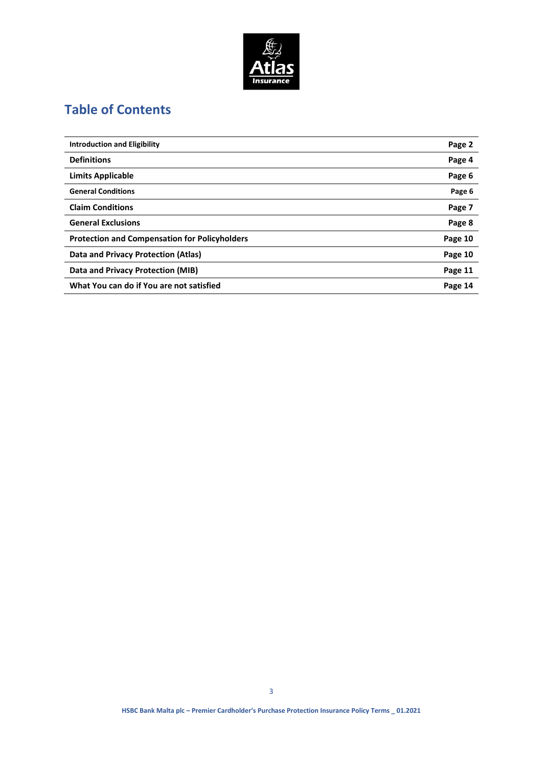

# **Table of Contents**

| <b>Introduction and Eligibility</b>                  | Page 2  |
|------------------------------------------------------|---------|
| <b>Definitions</b>                                   | Page 4  |
| Limits Applicable                                    | Page 6  |
| <b>General Conditions</b>                            | Page 6  |
| <b>Claim Conditions</b>                              | Page 7  |
| <b>General Exclusions</b>                            | Page 8  |
| <b>Protection and Compensation for Policyholders</b> | Page 10 |
| Data and Privacy Protection (Atlas)                  | Page 10 |
| Data and Privacy Protection (MIB)                    | Page 11 |
| What You can do if You are not satisfied             | Page 14 |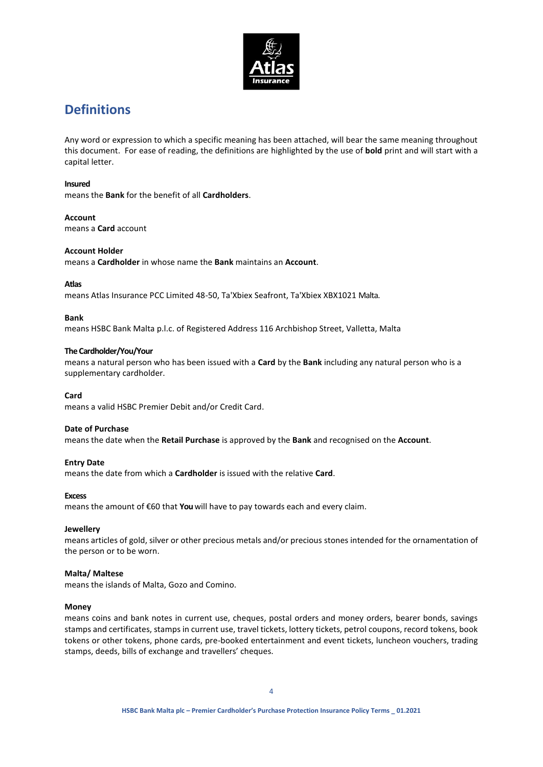

# **Definitions**

Any word or expression to which a specific meaning has been attached, will bear the same meaning throughout this document. For ease of reading, the definitions are highlighted by the use of **bold** print and will start with a capital letter.

### **Insured**

means the **Bank** for the benefit of all **Cardholders**.

**Account**  means a **Card** account

### **Account Holder**

means a **Cardholder** in whose name the **Bank** maintains an **Account**.

### **Atlas**

means Atlas Insurance PCC Limited 48-50, Ta'Xbiex Seafront, Ta'Xbiex XBX1021 Malta.

### **Bank**

means HSBC Bank Malta p.l.c. of Registered Address 116 Archbishop Street, Valletta, Malta

### **The Cardholder/You/Your**

means a natural person who has been issued with a **Card** by the **Bank** including any natural person who is a supplementary cardholder.

### **Card**

means a valid HSBC Premier Debit and/or Credit Card.

### **Date of Purchase**

means the date when the **Retail Purchase** is approved by the **Bank** and recognised on the **Account**.

### **Entry Date**

means the date from which a **Cardholder** is issued with the relative **Card**.

### **Excess**

means the amount of €60 that **You** will have to pay towards each and every claim.

### **Jewellery**

means articles of gold, silver or other precious metals and/or precious stones intended for the ornamentation of the person or to be worn.

### **Malta/ Maltese**

means the islands of Malta, Gozo and Comino.

### **Money**

means coins and bank notes in current use, cheques, postal orders and money orders, bearer bonds, savings stamps and certificates, stamps in current use, travel tickets, lottery tickets, petrol coupons, record tokens, book tokens or other tokens, phone cards, pre-booked entertainment and event tickets, luncheon vouchers, trading stamps, deeds, bills of exchange and travellers' cheques.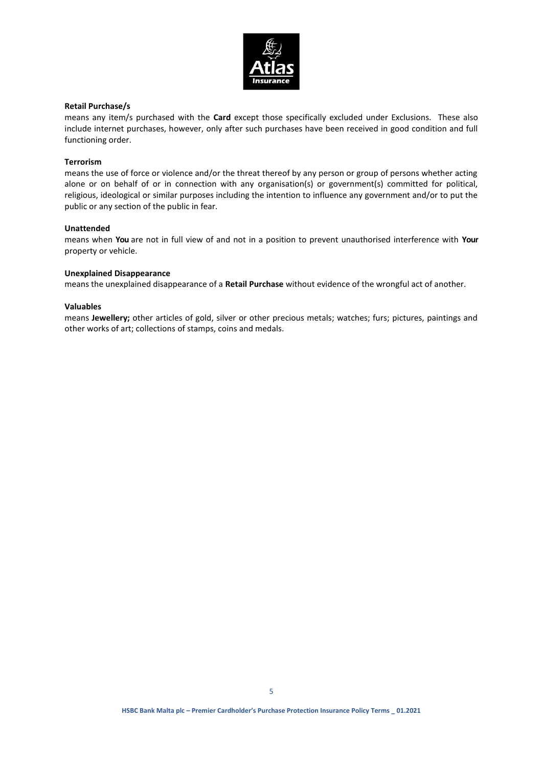

### **Retail Purchase/s**

means any item/s purchased with the **Card** except those specifically excluded under Exclusions. These also include internet purchases, however, only after such purchases have been received in good condition and full functioning order.

### **Terrorism**

means the use of force or violence and/or the threat thereof by any person or group of persons whether acting alone or on behalf of or in connection with any organisation(s) or government(s) committed for political, religious, ideological or similar purposes including the intention to influence any government and/or to put the public or any section of the public in fear.

### **Unattended**

means when **You** are not in full view of and not in a position to prevent unauthorised interference with **Your**  property or vehicle.

### **Unexplained Disappearance**

means the unexplained disappearance of a **Retail Purchase** without evidence of the wrongful act of another.

### **Valuables**

means **Jewellery;** other articles of gold, silver or other precious metals; watches; furs; pictures, paintings and other works of art; collections of stamps, coins and medals.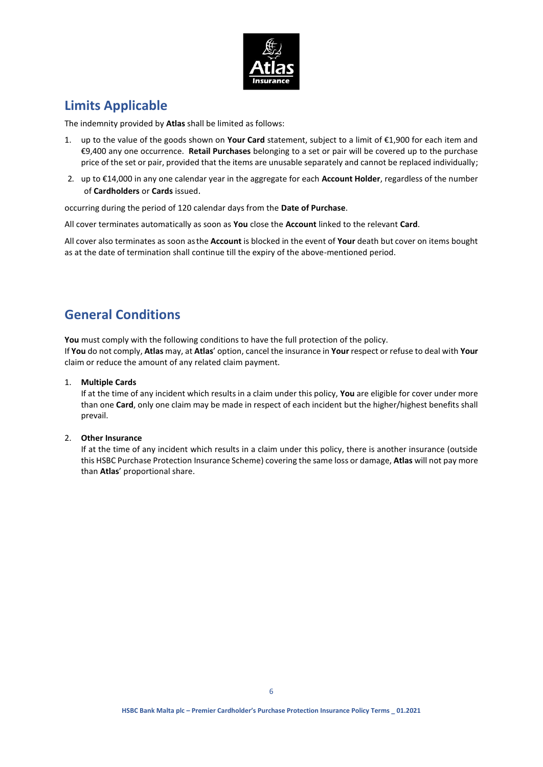

# **Limits Applicable**

The indemnity provided by **Atlas** shall be limited as follows:

- 1. up to the value of the goods shown on **Your Card** statement, subject to a limit of €1,900 for each item and €9,400 any one occurrence. **Retail Purchases** belonging to a set or pair will be covered up to the purchase price of the set or pair, provided that the items are unusable separately and cannot be replaced individually;
- 2. up to €14,000 in any one calendar year in the aggregate for each **Account Holder**, regardless of the number of **Cardholders** or **Cards** issued.

occurring during the period of 120 calendar days from the **Date of Purchase**.

All cover terminates automatically as soon as **You** close the **Account** linked to the relevant **Card**.

All cover also terminates as soon asthe **Account** is blocked in the event of **Your** death but cover on items bought as at the date of termination shall continue till the expiry of the above-mentioned period.

# **General Conditions**

You must comply with the following conditions to have the full protection of the policy. If **You** do not comply, **Atlas** may, at **Atlas**' option, cancel the insurance in **Your** respect or refuse to deal with **Your** claim or reduce the amount of any related claim payment.

1. **Multiple Cards**

If at the time of any incident which results in a claim under this policy, **You** are eligible for cover under more than one **Card**, only one claim may be made in respect of each incident but the higher/highest benefits shall prevail.

### 2. **Other Insurance**

If at the time of any incident which results in a claim under this policy, there is another insurance (outside this HSBC Purchase Protection Insurance Scheme) covering the same loss or damage, **Atlas** will not pay more than **Atlas**' proportional share.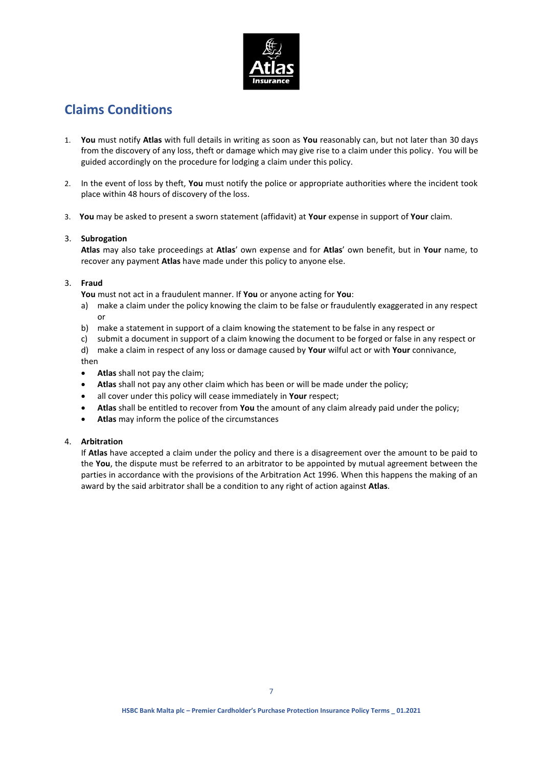

# **Claims Conditions**

- 1. **You** must notify **Atlas** with full details in writing as soon as **You** reasonably can, but not later than 30 days from the discovery of any loss, theft or damage which may give rise to a claim under this policy. You will be guided accordingly on the procedure for lodging a claim under this policy.
- 2. In the event of loss by theft, **You** must notify the police or appropriate authorities where the incident took place within 48 hours of discovery of the loss.
- 3. **You** may be asked to present a sworn statement (affidavit) at **Your** expense in support of **Your** claim.

### 3. **Subrogation**

**Atlas** may also take proceedings at **Atlas**' own expense and for **Atlas**' own benefit, but in **Your** name, to recover any payment **Atlas** have made under this policy to anyone else.

### 3. **Fraud**

**You** must not act in a fraudulent manner. If **You** or anyone acting for **You**:

- a) make a claim under the policy knowing the claim to be false or fraudulently exaggerated in any respect or
- b) make a statement in support of a claim knowing the statement to be false in any respect or
- c) submit a document in support of a claim knowing the document to be forged or false in any respect or
- d) make a claim in respect of any loss or damage caused by **Your** wilful act or with **Your** connivance, then
- **Atlas** shall not pay the claim;
- **Atlas** shall not pay any other claim which has been or will be made under the policy;
- all cover under this policy will cease immediately in **Your** respect;
- **Atlas** shall be entitled to recover from **You** the amount of any claim already paid under the policy;
- **Atlas** may inform the police of the circumstances

### 4. **Arbitration**

If **Atlas** have accepted a claim under the policy and there is a disagreement over the amount to be paid to the **You**, the dispute must be referred to an arbitrator to be appointed by mutual agreement between the parties in accordance with the provisions of the Arbitration Act 1996. When this happens the making of an award by the said arbitrator shall be a condition to any right of action against **Atlas**.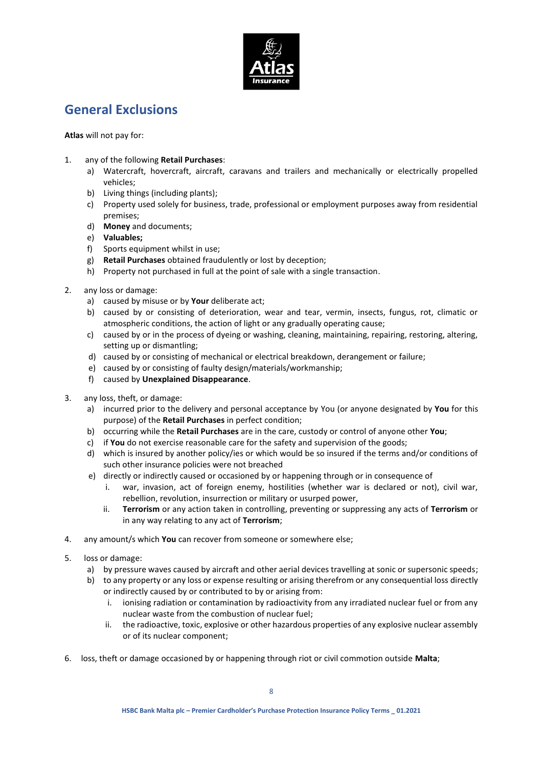

# **General Exclusions**

**Atlas** will not pay for:

- 1. any of the following **Retail Purchases**:
	- a) Watercraft, hovercraft, aircraft, caravans and trailers and mechanically or electrically propelled vehicles;
	- b) Living things (including plants);
	- c) Property used solely for business, trade, professional or employment purposes away from residential premises;
	- d) **Money** and documents;
	- e) **Valuables;**
	- f) Sports equipment whilst in use;
	- g) **Retail Purchases** obtained fraudulently or lost by deception;
	- h) Property not purchased in full at the point of sale with a single transaction.
- 2. any loss or damage:
	- a) caused by misuse or by **Your** deliberate act;
	- b) caused by or consisting of deterioration, wear and tear, vermin, insects, fungus, rot, climatic or atmospheric conditions, the action of light or any gradually operating cause;
	- c) caused by or in the process of dyeing or washing, cleaning, maintaining, repairing, restoring, altering, setting up or dismantling;
	- d) caused by or consisting of mechanical or electrical breakdown, derangement or failure;
	- e) caused by or consisting of faulty design/materials/workmanship;
	- f) caused by **Unexplained Disappearance**.
- 3. any loss, theft, or damage:
	- a) incurred prior to the delivery and personal acceptance by You (or anyone designated by **You** for this purpose) of the **Retail Purchases** in perfect condition;
	- b) occurring while the **Retail Purchases** are in the care, custody or control of anyone other **You**;
	- c) if **You** do not exercise reasonable care for the safety and supervision of the goods;
	- d) which is insured by another policy/ies or which would be so insured if the terms and/or conditions of such other insurance policies were not breached
	- e) directly or indirectly caused or occasioned by or happening through or in consequence of
		- i. war, invasion, act of foreign enemy, hostilities (whether war is declared or not), civil war, rebellion, revolution, insurrection or military or usurped power,
		- ii. **Terrorism** or any action taken in controlling, preventing or suppressing any acts of **Terrorism** or in any way relating to any act of **Terrorism**;
- 4. any amount/s which **You** can recover from someone or somewhere else;
- 5. loss or damage:
	- a) by pressure waves caused by aircraft and other aerial devices travelling at sonic or supersonic speeds;
	- b) to any property or any loss or expense resulting or arising therefrom or any consequential loss directly or indirectly caused by or contributed to by or arising from:
		- i. ionising radiation or contamination by radioactivity from any irradiated nuclear fuel or from any nuclear waste from the combustion of nuclear fuel;
		- ii. the radioactive, toxic, explosive or other hazardous properties of any explosive nuclear assembly or of its nuclear component;
- 6. loss, theft or damage occasioned by or happening through riot or civil commotion outside **Malta**;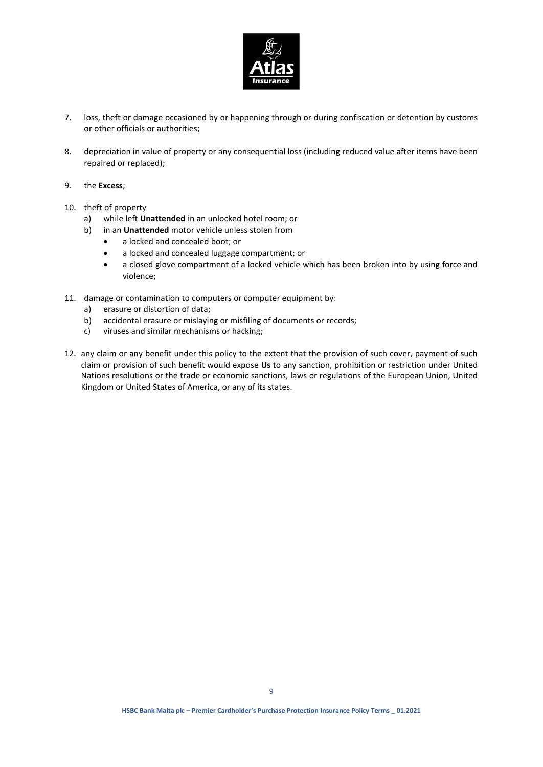

- 7. loss, theft or damage occasioned by or happening through or during confiscation or detention by customs or other officials or authorities;
- 8. depreciation in value of property or any consequential loss (including reduced value after items have been repaired or replaced);
- 9. the **Excess**;
- 10. theft of property
	- a) while left **Unattended** in an unlocked hotel room; or
	- b) in an **Unattended** motor vehicle unless stolen from
		- a locked and concealed boot; or
		- a locked and concealed luggage compartment; or
		- a closed glove compartment of a locked vehicle which has been broken into by using force and violence;
- 11. damage or contamination to computers or computer equipment by:
	- a) erasure or distortion of data;
	- b) accidental erasure or mislaying or misfiling of documents or records;
	- c) viruses and similar mechanisms or hacking;
- 12. any claim or any benefit under this policy to the extent that the provision of such cover, payment of such claim or provision of such benefit would expose **Us** to any sanction, prohibition or restriction under United Nations resolutions or the trade or economic sanctions, laws or regulations of the European Union, United Kingdom or United States of America, or any of its states.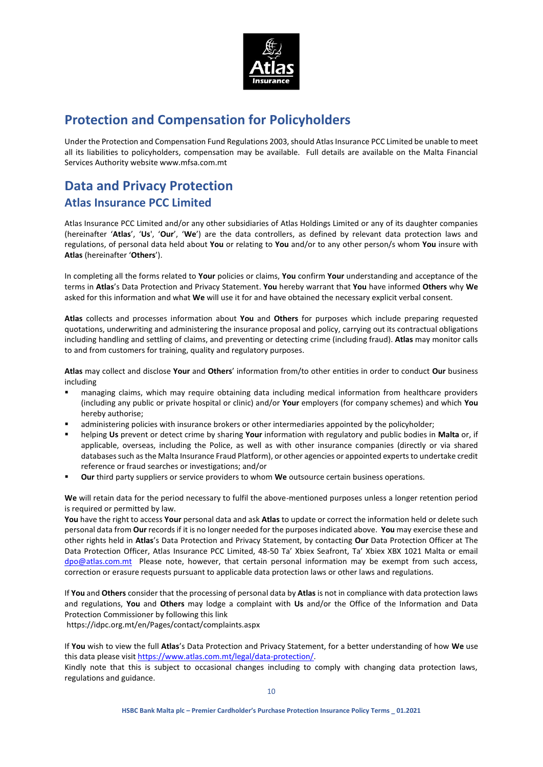

# **Protection and Compensation for Policyholders**

Under the Protection and Compensation Fund Regulations 2003, should Atlas Insurance PCC Limited be unable to meet all its liabilities to policyholders, compensation may be available. Full details are available on the Malta Financial Services Authority website www.mfsa.com.mt

# **Data and Privacy Protection Atlas Insurance PCC Limited**

Atlas Insurance PCC Limited and/or any other subsidiaries of Atlas Holdings Limited or any of its daughter companies (hereinafter '**Atlas**', '**Us**', '**Our**', '**We**') are the data controllers, as defined by relevant data protection laws and regulations, of personal data held about **You** or relating to **You** and/or to any other person/s whom **You** insure with **Atlas** (hereinafter '**Others**').

In completing all the forms related to **Your** policies or claims, **You** confirm **Your** understanding and acceptance of the terms in **Atlas**'s Data Protection and Privacy Statement. **You** hereby warrant that **You** have informed **Others** why **We** asked for this information and what **We** will use it for and have obtained the necessary explicit verbal consent.

**Atlas** collects and processes information about **You** and **Others** for purposes which include preparing requested quotations, underwriting and administering the insurance proposal and policy, carrying out its contractual obligations including handling and settling of claims, and preventing or detecting crime (including fraud). **Atlas** may monitor calls to and from customers for training, quality and regulatory purposes.

**Atlas** may collect and disclose **Your** and **Others**' information from/to other entities in order to conduct **Our** business including

- managing claims, which may require obtaining data including medical information from healthcare providers (including any public or private hospital or clinic) and/or **Your** employers (for company schemes) and which **You** hereby authorise;
- administering policies with insurance brokers or other intermediaries appointed by the policyholder;
- helping **Us** prevent or detect crime by sharing **Your** information with regulatory and public bodies in **Malta** or, if applicable, overseas, including the Police, as well as with other insurance companies (directly or via shared databases such as the Malta Insurance Fraud Platform), or other agencies or appointed experts to undertake credit reference or fraud searches or investigations; and/or
- **Our** third party suppliers or service providers to whom **We** outsource certain business operations.

**We** will retain data for the period necessary to fulfil the above-mentioned purposes unless a longer retention period is required or permitted by law.

**You** have the right to access **Your** personal data and ask **Atlas** to update or correct the information held or delete such personal data from **Our** records if it is no longer needed for the purposes indicated above. **You** may exercise these and other rights held in **Atlas**'s Data Protection and Privacy Statement, by contacting **Our** Data Protection Officer at The Data Protection Officer, Atlas Insurance PCC Limited, 48-50 Ta' Xbiex Seafront, Ta' Xbiex XBX 1021 Malta or email [dpo@atlas.com.mt](mailto:dpo@atlas.com.mt) Please note, however, that certain personal information may be exempt from such access, correction or erasure requests pursuant to applicable data protection laws or other laws and regulations.

If **You** and **Others** consider that the processing of personal data by **Atlas** is not in compliance with data protection laws and regulations, **You** and **Others** may lodge a complaint with **Us** and/or the Office of the Information and Data Protection Commissioner by following this link

<https://idpc.org.mt/en/Pages/contact/complaints.aspx>

If **You** wish to view the full **Atlas**'s Data Protection and Privacy Statement, for a better understanding of how **We** use this data please visi[t https://www.atlas.com.mt/legal/data-protection/.](https://www.atlas.com.mt/legal/data-protection/)

Kindly note that this is subject to occasional changes including to comply with changing data protection laws, regulations and guidance.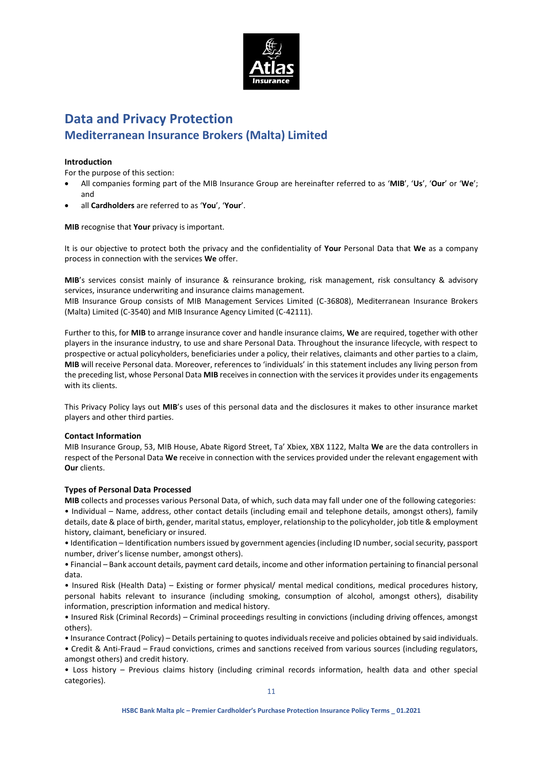

# **Data and Privacy Protection Mediterranean Insurance Brokers (Malta) Limited**

### **Introduction**

For the purpose of this section:

- All companies forming part of the MIB Insurance Group are hereinafter referred to as '**MIB**', '**Us**', '**Our**' or '**We**'; and
- all **Cardholders** are referred to as '**You**', '**Your**'.

**MIB** recognise that **Your** privacy is important.

It is our objective to protect both the privacy and the confidentiality of **Your** Personal Data that **We** as a company process in connection with the services **We** offer.

**MIB**'s services consist mainly of insurance & reinsurance broking, risk management, risk consultancy & advisory services, insurance underwriting and insurance claims management.

MIB Insurance Group consists of MIB Management Services Limited (C-36808), Mediterranean Insurance Brokers (Malta) Limited (C-3540) and MIB Insurance Agency Limited (C-42111).

Further to this, for **MIB** to arrange insurance cover and handle insurance claims, **We** are required, together with other players in the insurance industry, to use and share Personal Data. Throughout the insurance lifecycle, with respect to prospective or actual policyholders, beneficiaries under a policy, their relatives, claimants and other parties to a claim, **MIB** will receive Personal data. Moreover, references to 'individuals' in this statement includes any living person from the preceding list, whose Personal Data **MIB** receives in connection with the services it provides under its engagements with its clients.

This Privacy Policy lays out **MIB**'s uses of this personal data and the disclosures it makes to other insurance market players and other third parties.

### **Contact Information**

MIB Insurance Group, 53, MIB House, Abate Rigord Street, Ta' Xbiex, XBX 1122, Malta **We** are the data controllers in respect of the Personal Data **We** receive in connection with the services provided under the relevant engagement with **Our** clients.

### **Types of Personal Data Processed**

**MIB** collects and processes various Personal Data, of which, such data may fall under one of the following categories: • Individual – Name, address, other contact details (including email and telephone details, amongst others), family details, date & place of birth, gender, marital status, employer, relationship to the policyholder, job title & employment history, claimant, beneficiary or insured.

• Identification – Identification numbers issued by government agencies (including ID number, social security, passport number, driver's license number, amongst others).

• Financial – Bank account details, payment card details, income and other information pertaining to financial personal data.

• Insured Risk (Health Data) – Existing or former physical/ mental medical conditions, medical procedures history, personal habits relevant to insurance (including smoking, consumption of alcohol, amongst others), disability information, prescription information and medical history.

• Insured Risk (Criminal Records) – Criminal proceedings resulting in convictions (including driving offences, amongst others).

• Insurance Contract (Policy) – Details pertaining to quotes individuals receive and policies obtained by said individuals.

• Credit & Anti-Fraud – Fraud convictions, crimes and sanctions received from various sources (including regulators, amongst others) and credit history.

• Loss history – Previous claims history (including criminal records information, health data and other special categories).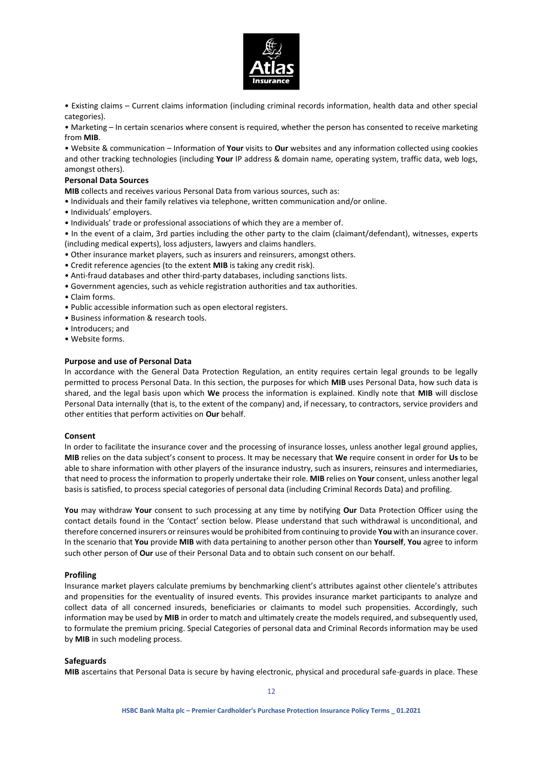

• Existing claims – Current claims information (including criminal records information, health data and other special categories).

• Marketing – In certain scenarios where consent is required, whether the person has consented to receive marketing from **MIB**.

• Website & communication – Information of **Your** visits to **Our** websites and any information collected using cookies and other tracking technologies (including **Your** IP address & domain name, operating system, traffic data, web logs, amongst others).

### **Personal Data Sources**

**MIB** collects and receives various Personal Data from various sources, such as:

- Individuals and their family relatives via telephone, written communication and/or online.
- Individuals' employers.
- Individuals' trade or professional associations of which they are a member of.

• In the event of a claim, 3rd parties including the other party to the claim (claimant/defendant), witnesses, experts (including medical experts), loss adjusters, lawyers and claims handlers.

- Other insurance market players, such as insurers and reinsurers, amongst others.
- Credit reference agencies (to the extent **MIB** is taking any credit risk).
- Anti-fraud databases and other third-party databases, including sanctions lists.
- Government agencies, such as vehicle registration authorities and tax authorities.
- Claim forms.
- Public accessible information such as open electoral registers.
- Business information & research tools.
- Introducers; and
- Website forms.

### **Purpose and use of Personal Data**

In accordance with the General Data Protection Regulation, an entity requires certain legal grounds to be legally permitted to process Personal Data. In this section, the purposes for which **MIB** uses Personal Data, how such data is shared, and the legal basis upon which **We** process the information is explained. Kindly note that **MIB** will disclose Personal Data internally (that is, to the extent of the company) and, if necessary, to contractors, service providers and other entities that perform activities on **Our** behalf.

### **Consent**

In order to facilitate the insurance cover and the processing of insurance losses, unless another legal ground applies, **MIB** relies on the data subject's consent to process. It may be necessary that **We** require consent in order for **Us** to be able to share information with other players of the insurance industry, such as insurers, reinsures and intermediaries, that need to process the information to properly undertake their role. **MIB** relies on **Your** consent, unless another legal basis is satisfied, to process special categories of personal data (including Criminal Records Data) and profiling.

**You** may withdraw **Your** consent to such processing at any time by notifying **Our** Data Protection Officer using the contact details found in the 'Contact' section below. Please understand that such withdrawal is unconditional, and therefore concerned insurers or reinsures would be prohibited from continuing to provide **You** with an insurance cover. In the scenario that **You** provide **MIB** with data pertaining to another person other than **Yourself**, **You** agree to inform such other person of **Our** use of their Personal Data and to obtain such consent on our behalf.

### **Profiling**

Insurance market players calculate premiums by benchmarking client's attributes against other clientele's attributes and propensities for the eventuality of insured events. This provides insurance market participants to analyze and collect data of all concerned insureds, beneficiaries or claimants to model such propensities. Accordingly, such information may be used by **MIB** in order to match and ultimately create the models required, and subsequently used, to formulate the premium pricing. Special Categories of personal data and Criminal Records information may be used by **MIB** in such modeling process.

### **Safeguards**

**MIB** ascertains that Personal Data is secure by having electronic, physical and procedural safe-guards in place. These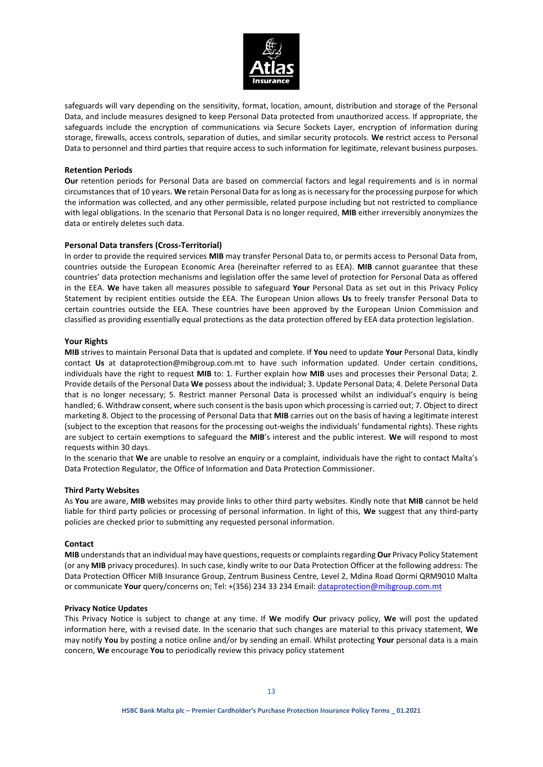

safeguards will vary depending on the sensitivity, format, location, amount, distribution and storage of the Personal Data, and include measures designed to keep Personal Data protected from unauthorized access. If appropriate, the safeguards include the encryption of communications via Secure Sockets Layer, encryption of information during storage, firewalls, access controls, separation of duties, and similar security protocols. **We** restrict access to Personal Data to personnel and third parties that require access to such information for legitimate, relevant business purposes.

### **Retention Periods**

**Our** retention periods for Personal Data are based on commercial factors and legal requirements and is in normal circumstances that of 10 years. **We** retain Personal Data for as long as is necessary for the processing purpose for which the information was collected, and any other permissible, related purpose including but not restricted to compliance with legal obligations. In the scenario that Personal Data is no longer required, **MIB** either irreversibly anonymizes the data or entirely deletes such data.

### **Personal Data transfers (Cross-Territorial)**

In order to provide the required services **MIB** may transfer Personal Data to, or permits access to Personal Data from, countries outside the European Economic Area (hereinafter referred to as EEA). **MIB** cannot guarantee that these countries' data protection mechanisms and legislation offer the same level of protection for Personal Data as offered in the EEA. **We** have taken all measures possible to safeguard **Your** Personal Data as set out in this Privacy Policy Statement by recipient entities outside the EEA. The European Union allows **Us** to freely transfer Personal Data to certain countries outside the EEA. These countries have been approved by the European Union Commission and classified as providing essentially equal protections as the data protection offered by EEA data protection legislation.

### **Your Rights**

**MIB** strives to maintain Personal Data that is updated and complete. If **You** need to update **Your** Personal Data, kindly contact **Us** at dataprotection@mibgroup.com.mt to have such information updated. Under certain conditions, individuals have the right to request **MIB** to: 1. Further explain how **MIB** uses and processes their Personal Data; 2. Provide details of the Personal Data **We** possess about the individual; 3. Update Personal Data; 4. Delete Personal Data that is no longer necessary; 5. Restrict manner Personal Data is processed whilst an individual's enquiry is being handled; 6. Withdraw consent, where such consent is the basis upon which processing is carried out; 7. Object to direct marketing 8. Object to the processing of Personal Data that **MIB** carries out on the basis of having a legitimate interest (subject to the exception that reasons for the processing out-weighs the individuals' fundamental rights). These rights are subject to certain exemptions to safeguard the **MIB**'s interest and the public interest. **We** will respond to most requests within 30 days.

In the scenario that **We** are unable to resolve an enquiry or a complaint, individuals have the right to contact Malta's Data Protection Regulator, the Office of Information and Data Protection Commissioner.

### **Third Party Websites**

As **You** are aware, **MIB** websites may provide links to other third party websites. Kindly note that **MIB** cannot be held liable for third party policies or processing of personal information. In light of this, **We** suggest that any third-party policies are checked prior to submitting any requested personal information.

### **Contact**

**MIB** understands that an individual may have questions, requests or complaints regarding **Our** Privacy Policy Statement (or any **MIB** privacy procedures). In such case, kindly write to our Data Protection Officer at the following address: The Data Protection Officer MIB Insurance Group, Zentrum Business Centre, Level 2, Mdina Road Qormi QRM9010 Malta or communicate **Your** query/concerns on; Tel: +(356) 234 33 234 Email[: dataprotection@mibgroup.com.mt](mailto:dataprotection@mibgroup.com.mt)

### **Privacy Notice Updates**

This Privacy Notice is subject to change at any time. If **We** modify **Our** privacy policy, **We** will post the updated information here, with a revised date. In the scenario that such changes are material to this privacy statement, **We** may notify **You** by posting a notice online and/or by sending an email. Whilst protecting **Your** personal data is a main concern, **We** encourage **You** to periodically review this privacy policy statement